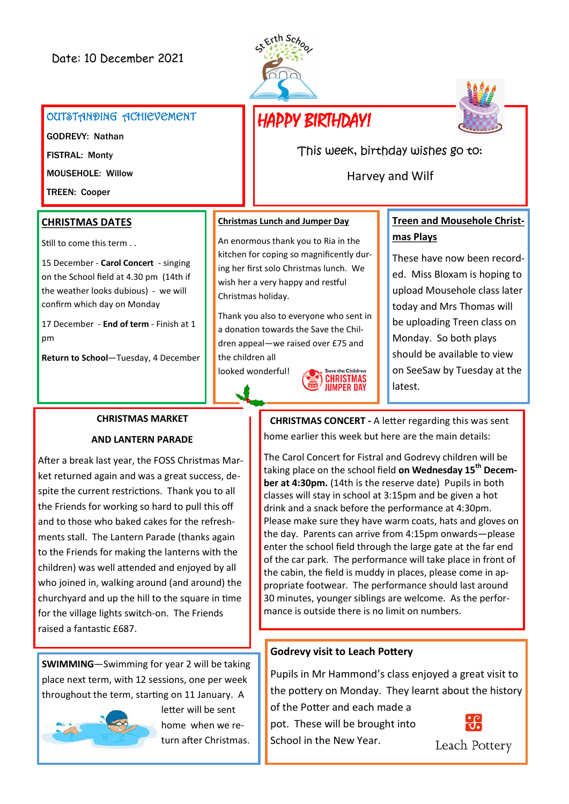



#### OUTSTANDING ACHIEVEMENT

GODREVY: Nathan FISTRAL: Monty MOUSEHOLE: Willow

TREEN: Cooper

#### **CHRISTMAS DATES**

Still to come this term . .

15 December - **Carol Concert** - singing on the School field at 4.30 pm (14th if the weather looks dubious) - we will confirm which day on Monday

17 December - **End of term** - Finish at 1 pm

**Return to School**—Tuesday, 4 December

#### **Christmas Lunch and Jumper Day**

An enormous thank you to Ria in the kitchen for coping so magnificently during her first solo Christmas lunch. We wish her a very happy and restful Christmas holiday.

Thank you also to everyone who sent in a donation towards the Save the Children appeal—we raised over £75 and the children all

looked wonderful!



# **Treen and Mousehole Christmas Plays**

These have now been recorded. Miss Bloxam is hoping to upload Mousehole class later today and Mrs Thomas will be uploading Treen class on Monday. So both plays should be available to view on SeeSaw by Tuesday at the latest.

### **CHRISTMAS MARKET**

#### **AND LANTERN PARADE**

After a break last year, the FOSS Christmas Market returned again and was a great success, despite the current restrictions. Thank you to all the Friends for working so hard to pull this off and to those who baked cakes for the refreshments stall. The Lantern Parade (thanks again to the Friends for making the lanterns with the children) was well attended and enjoyed by all who joined in, walking around (and around) the churchyard and up the hill to the square in time for the village lights switch-on. The Friends raised a fantastic £687.

**SWIMMING**—Swimming for year 2 will be taking place next term, with 12 sessions, one per week throughout the term, starting on 11 January. A



letter will be sent home when we return after Christmas.

**CHRISTMAS CONCERT -** A letter regarding this was sent home earlier this week but here are the main details:

This week, birthday wishes go to:

Harvey and Wilf

The Carol Concert for Fistral and Godrevy children will be taking place on the school field **on Wednesday 15th December at 4:30pm.** (14th is the reserve date) Pupils in both classes will stay in school at 3:15pm and be given a hot drink and a snack before the performance at 4:30pm. Please make sure they have warm coats, hats and gloves on the day. Parents can arrive from 4:15pm onwards—please enter the school field through the large gate at the far end of the car park. The performance will take place in front of the cabin, the field is muddy in places, please come in appropriate footwear. The performance should last around 30 minutes, younger siblings are welcome. As the performance is outside there is no limit on numbers.

### **Godrevy visit to Leach Pottery**

Pupils in Mr Hammond's class enjoyed a great visit to the pottery on Monday. They learnt about the history

of the Potter and each made a pot. These will be brought into School in the New Year.